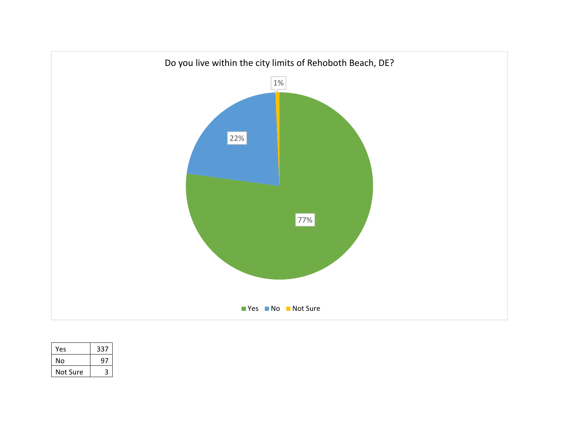

| Yes      | 337 |
|----------|-----|
| No       | 97  |
| Not Sure |     |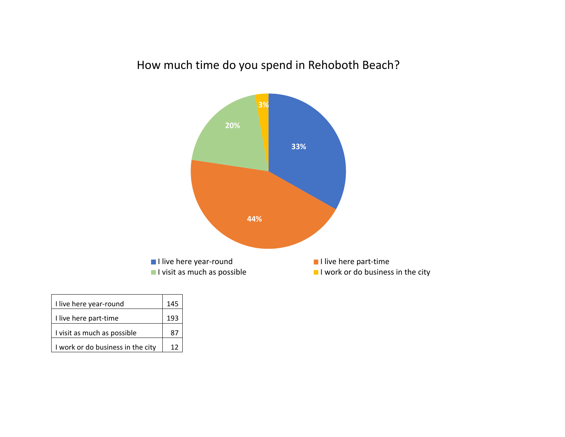## How much time do you spend in Rehoboth Beach?



| I live here year-round            | 145 |
|-----------------------------------|-----|
| I live here part-time             | 193 |
| I visit as much as possible       | 87  |
| I work or do business in the city | 12  |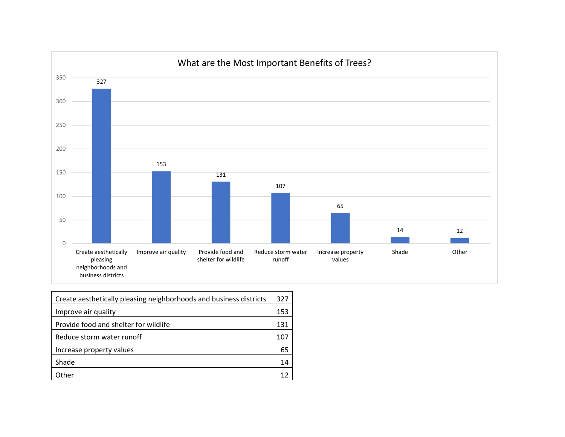

| Create aesthetically pleasing neighborhoods and business districts |     |
|--------------------------------------------------------------------|-----|
| Improve air quality                                                | 153 |
| Provide food and shelter for wildlife                              | 131 |
| Reduce storm water runoff                                          | 107 |
| Increase property values                                           | 65  |
| Shade                                                              | 14  |
| Other                                                              |     |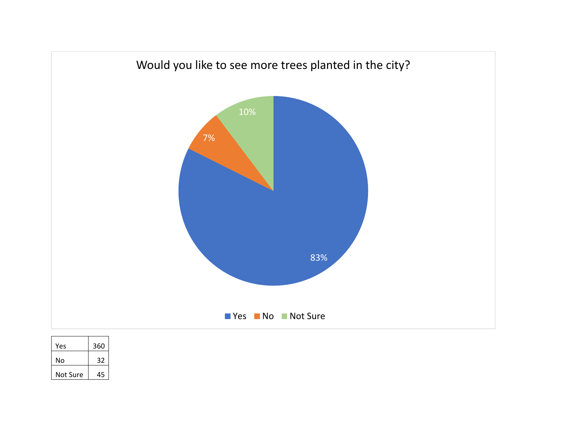

| Yes      | 360 |
|----------|-----|
| N٥       | 32  |
| Not Sure | 45  |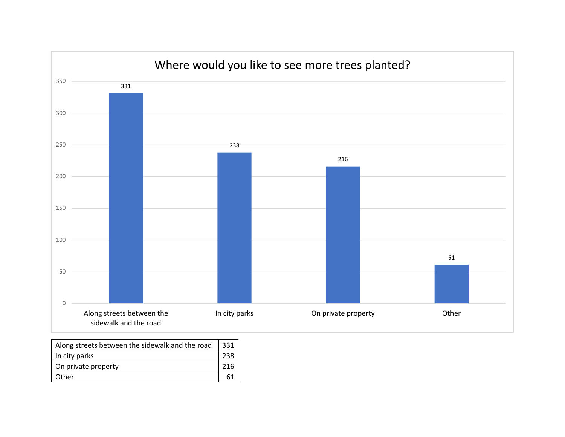

| Along streets between the sidewalk and the road |  |
|-------------------------------------------------|--|
| In city parks                                   |  |
| On private property<br>216                      |  |
| Other                                           |  |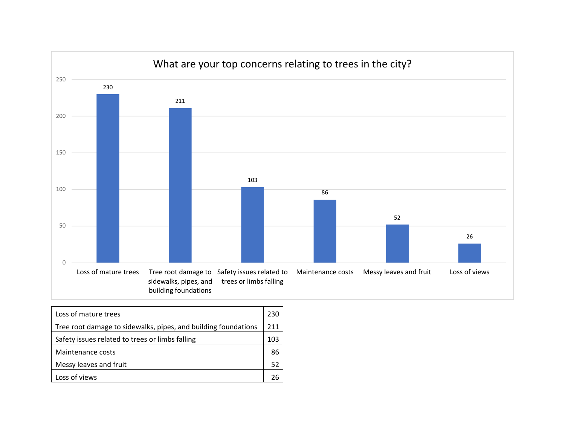

| Loss of mature trees                                           |    |
|----------------------------------------------------------------|----|
| Tree root damage to sidewalks, pipes, and building foundations |    |
| Safety issues related to trees or limbs falling                |    |
| Maintenance costs                                              | 86 |
| Messy leaves and fruit                                         | 52 |
| Loss of views                                                  |    |